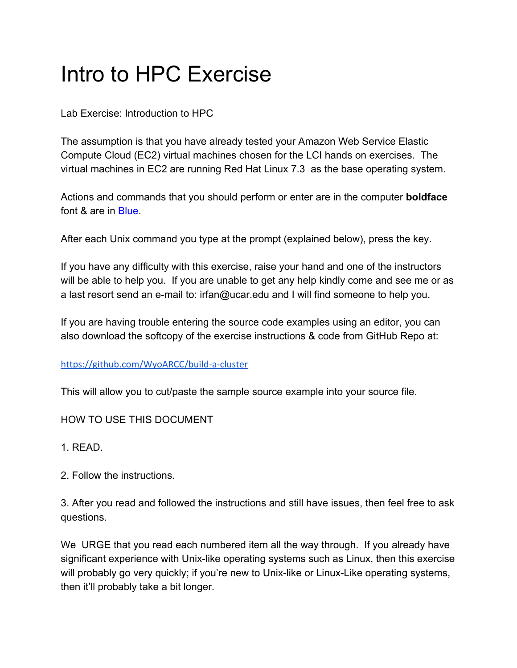# Intro to HPC Exercise

Lab Exercise: Introduction to HPC

The assumption is that you have already tested your Amazon Web Service Elastic Compute Cloud (EC2) virtual machines chosen for the LCI hands on exercises. The virtual machines in EC2 are running Red Hat Linux 7.3 as the base operating system.

Actions and commands that you should perform or enter are in the computer **boldface** font & are in Blue.

After each Unix command you type at the prompt (explained below), press the key.

If you have any difficulty with this exercise, raise your hand and one of the instructors will be able to help you. If you are unable to get any help kindly come and see me or as a last resort send an e-mail to: irfan@ucar.edu and I will find someone to help you.

If you are having trouble entering the source code examples using an editor, you can also download the softcopy of the exercise instructions & code from GitHub Repo at:

<https://github.com/WyoARCC/build-a-cluster>

This will allow you to cut/paste the sample source example into your source file.

HOW TO USE THIS DOCUMENT

1. READ.

2. Follow the instructions.

3. After you read and followed the instructions and still have issues, then feel free to ask questions.

We URGE that you read each numbered item all the way through. If you already have significant experience with Unix-like operating systems such as Linux, then this exercise will probably go very quickly; if you're new to Unix-like or Linux-Like operating systems, then it'll probably take a bit longer.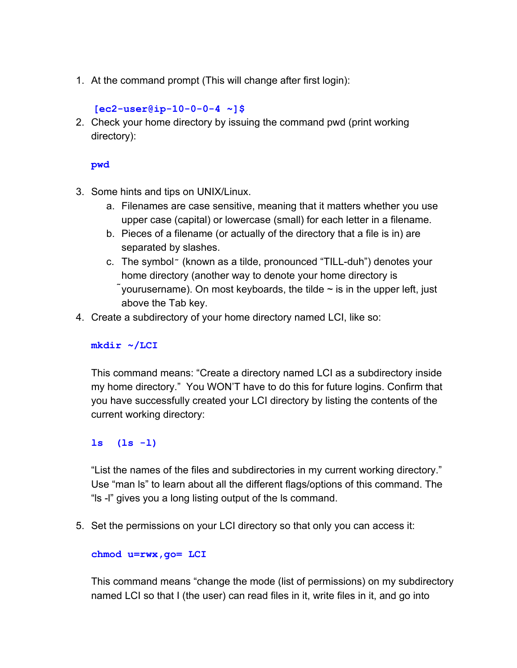1. At the command prompt (This will change after first login):

**[ec2-user@ip-10-0-0-4 ~]\$**

2. Check your home directory by issuing the command pwd (print working directory):

**pwd**

- 3. Some hints and tips on UNIX/Linux.
	- a. Filenames are case sensitive, meaning that it matters whether you use upper case (capital) or lowercase (small) for each letter in a filename.
	- b. Pieces of a filename (or actually of the directory that a file is in) are separated by slashes.
	- c. The symbol $\tilde{ }$  (known as a tilde, pronounced "TILL-duh") denotes your home directory (another way to denote your home directory is  $\tilde{\ }$  yourusername). On most keyboards, the tilde  $\sim$  is in the upper left, just above the Tab key.
- 4. Create a subdirectory of your home directory named LCI, like so:

# **mkdir ~/LCI**

This command means: "Create a directory named LCI as a subdirectory inside my home directory." You WON'T have to do this for future logins. Confirm that you have successfully created your LCI directory by listing the contents of the current working directory:

**ls (ls -l)**

"List the names of the files and subdirectories in my current working directory." Use "man ls" to learn about all the different flags/options of this command. The "ls -l" gives you a long listing output of the ls command.

5. Set the permissions on your LCI directory so that only you can access it:

## **chmod u=rwx,go= LCI**

This command means "change the mode (list of permissions) on my subdirectory named LCI so that I (the user) can read files in it, write files in it, and go into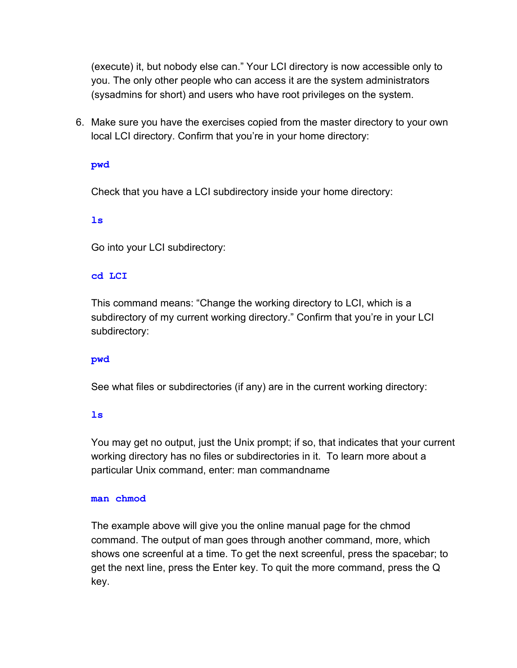(execute) it, but nobody else can." Your LCI directory is now accessible only to you. The only other people who can access it are the system administrators (sysadmins for short) and users who have root privileges on the system.

6. Make sure you have the exercises copied from the master directory to your own local LCI directory. Confirm that you're in your home directory:

**pwd**

Check that you have a LCI subdirectory inside your home directory:

**ls**

Go into your LCI subdirectory:

## **cd LCI**

This command means: "Change the working directory to LCI, which is a subdirectory of my current working directory." Confirm that you're in your LCI subdirectory:

## **pwd**

See what files or subdirectories (if any) are in the current working directory:

**ls**

You may get no output, just the Unix prompt; if so, that indicates that your current working directory has no files or subdirectories in it. To learn more about a particular Unix command, enter: man commandname

#### **man chmod**

The example above will give you the online manual page for the chmod command. The output of man goes through another command, more, which shows one screenful at a time. To get the next screenful, press the spacebar; to get the next line, press the Enter key. To quit the more command, press the Q key.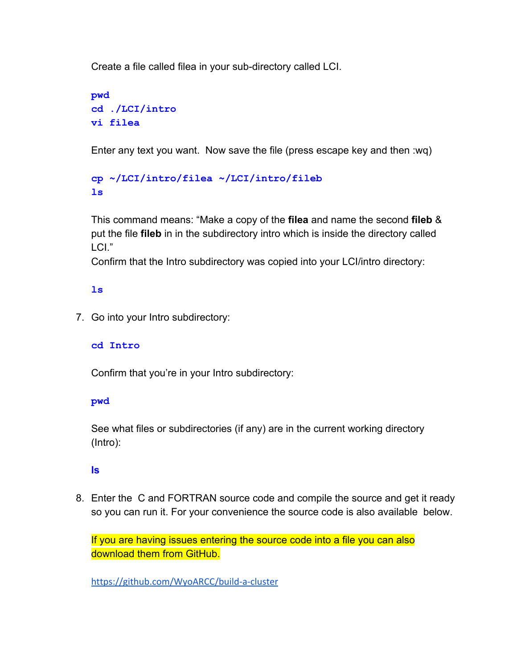Create a file called filea in your sub-directory called LCI.

```
pwd
cd ./LCI/intro
vi filea
```
Enter any text you want. Now save the file (press escape key and then :wq)

```
cp ~/LCI/intro/filea ~/LCI/intro/fileb
ls
```
This command means: "Make a copy of the **filea** and name the second **fileb** & put the file **fileb** in in the subdirectory intro which is inside the directory called LCI."

Confirm that the Intro subdirectory was copied into your LCI/intro directory:

# **ls**

7. Go into your Intro subdirectory:

# **cd Intro**

Confirm that you're in your Intro subdirectory:

# **pwd**

See what files or subdirectories (if any) are in the current working directory (Intro):

# **ls**

8. Enter the C and FORTRAN source code and compile the source and get it ready so you can run it. For your convenience the source code is also available below.

If you are having issues entering the source code into a file you can also download them from GitHub.

<https://github.com/WyoARCC/build-a-cluster>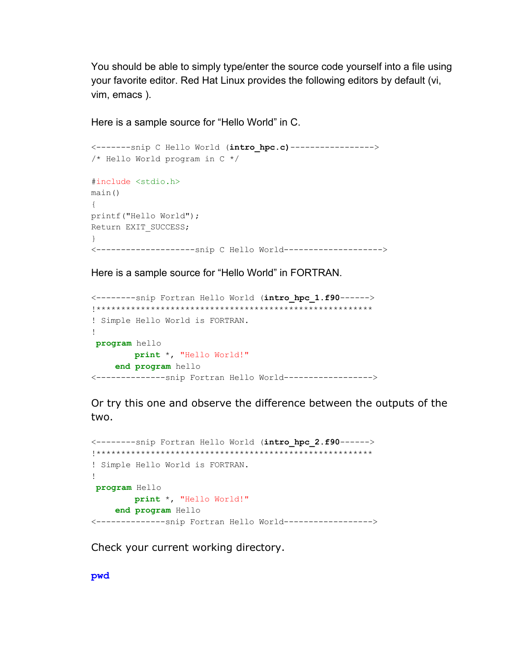You should be able to simply type/enter the source code yourself into a file using your favorite editor. Red Hat Linux provides the following editors by default (vi, vim, emacs ).

Here is a sample source for "Hello World" in C.

```
<-------snip C Hello World (intro_hpc.c)----------------->
/* Hello World program in C */
#include <stdio.h>
main()
{
printf("Hello World");
Return EXIT SUCCESS;
}
<--------------------snip C Hello World-------------------->
```
Here is a sample source for "Hello World" in FORTRAN.

```
<--------snip Fortran Hello World (intro_hpc_1.f90------>
!********************************************************
! Simple Hello World is FORTRAN.
!
program hello
       print *, "Hello World!"
    end program hello
<--------------snip Fortran Hello World------------------>
```
Or try this one and observe the difference between the outputs of the two.

```
<--------snip Fortran Hello World (intro_hpc_2.f90------>
!********************************************************
! Simple Hello World is FORTRAN.
!
program Hello
        print *, "Hello World!"
    end program Hello
<--------------snip Fortran Hello World------------------>
```
Check your current working directory.

**pwd**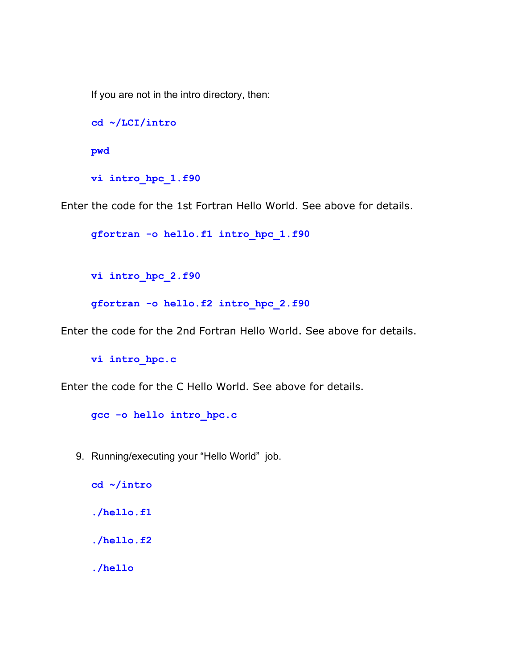If you are not in the intro directory, then:

```
cd ~/LCI/intro
pwd
vi intro_hpc_1.f90
```
Enter the code for the 1st Fortran Hello World. See above for details.

**gfortran -o hello.f1 intro\_hpc\_1.f90**

```
vi intro_hpc_2.f90
```

```
gfortran -o hello.f2 intro_hpc_2.f90
```
Enter the code for the 2nd Fortran Hello World. See above for details.

```
vi intro_hpc.c
```
Enter the code for the C Hello World. See above for details.

```
gcc -o hello intro_hpc.c
```
9. Running/executing your "Hello World" job.

```
cd ~/intro
./hello.f1
./hello.f2
./hello
```